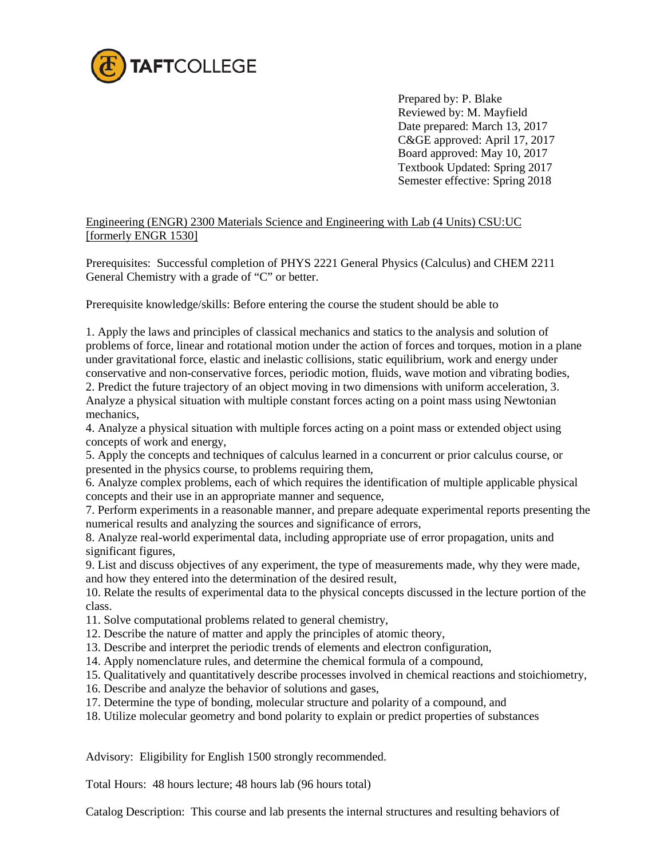

 Prepared by: P. Blake Reviewed by: M. Mayfield Date prepared: March 13, 2017 C&GE approved: April 17, 2017 Board approved: May 10, 2017 Textbook Updated: Spring 2017 Semester effective: Spring 2018

Engineering (ENGR) 2300 Materials Science and Engineering with Lab (4 Units) CSU:UC [formerly ENGR 1530]

Prerequisites: Successful completion of PHYS 2221 General Physics (Calculus) and CHEM 2211 General Chemistry with a grade of "C" or better.

Prerequisite knowledge/skills: Before entering the course the student should be able to

1. Apply the laws and principles of classical mechanics and statics to the analysis and solution of problems of force, linear and rotational motion under the action of forces and torques, motion in a plane under gravitational force, elastic and inelastic collisions, static equilibrium, work and energy under conservative and non-conservative forces, periodic motion, fluids, wave motion and vibrating bodies, 2. Predict the future trajectory of an object moving in two dimensions with uniform acceleration, 3. Analyze a physical situation with multiple constant forces acting on a point mass using Newtonian mechanics,

4. Analyze a physical situation with multiple forces acting on a point mass or extended object using concepts of work and energy,

5. Apply the concepts and techniques of calculus learned in a concurrent or prior calculus course, or presented in the physics course, to problems requiring them,

6. Analyze complex problems, each of which requires the identification of multiple applicable physical concepts and their use in an appropriate manner and sequence,

7. Perform experiments in a reasonable manner, and prepare adequate experimental reports presenting the numerical results and analyzing the sources and significance of errors,

8. Analyze real-world experimental data, including appropriate use of error propagation, units and significant figures,

9. List and discuss objectives of any experiment, the type of measurements made, why they were made, and how they entered into the determination of the desired result,

10. Relate the results of experimental data to the physical concepts discussed in the lecture portion of the class.

11. Solve computational problems related to general chemistry,

- 12. Describe the nature of matter and apply the principles of atomic theory,
- 13. Describe and interpret the periodic trends of elements and electron configuration,
- 14. Apply nomenclature rules, and determine the chemical formula of a compound,

15. Qualitatively and quantitatively describe processes involved in chemical reactions and stoichiometry,

- 16. Describe and analyze the behavior of solutions and gases,
- 17. Determine the type of bonding, molecular structure and polarity of a compound, and
- 18. Utilize molecular geometry and bond polarity to explain or predict properties of substances

Advisory: Eligibility for English 1500 strongly recommended.

Total Hours: 48 hours lecture; 48 hours lab (96 hours total)

Catalog Description: This course and lab presents the internal structures and resulting behaviors of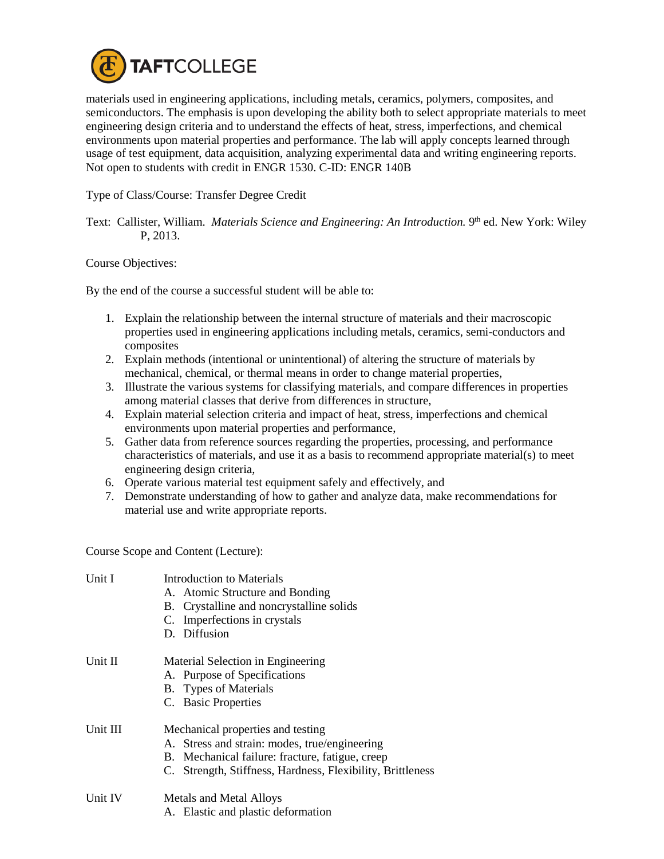

materials used in engineering applications, including metals, ceramics, polymers, composites, and semiconductors. The emphasis is upon developing the ability both to select appropriate materials to meet engineering design criteria and to understand the effects of heat, stress, imperfections, and chemical environments upon material properties and performance. The lab will apply concepts learned through usage of test equipment, data acquisition, analyzing experimental data and writing engineering reports. Not open to students with credit in ENGR 1530. C-ID: ENGR 140B

Type of Class/Course: Transfer Degree Credit

Text: Callister, William. *Materials Science and Engineering: An Introduction*. 9<sup>th</sup> ed. New York: Wiley P, 2013.

Course Objectives:

By the end of the course a successful student will be able to:

- 1. Explain the relationship between the internal structure of materials and their macroscopic properties used in engineering applications including metals, ceramics, semi-conductors and composites
- 2. Explain methods (intentional or unintentional) of altering the structure of materials by mechanical, chemical, or thermal means in order to change material properties,
- 3. Illustrate the various systems for classifying materials, and compare differences in properties among material classes that derive from differences in structure,
- 4. Explain material selection criteria and impact of heat, stress, imperfections and chemical environments upon material properties and performance,
- 5. Gather data from reference sources regarding the properties, processing, and performance characteristics of materials, and use it as a basis to recommend appropriate material(s) to meet engineering design criteria,
- 6. Operate various material test equipment safely and effectively, and
- 7. Demonstrate understanding of how to gather and analyze data, make recommendations for material use and write appropriate reports.

Course Scope and Content (Lecture):

| Unit I   | Introduction to Materials<br>A. Atomic Structure and Bonding<br>B. Crystalline and noncrystalline solids<br>C. Imperfections in crystals<br>D. Diffusion                                            |
|----------|-----------------------------------------------------------------------------------------------------------------------------------------------------------------------------------------------------|
| Unit II  | Material Selection in Engineering<br>A. Purpose of Specifications<br>B. Types of Materials<br>C. Basic Properties                                                                                   |
| Unit III | Mechanical properties and testing<br>A. Stress and strain: modes, true/engineering<br>B. Mechanical failure: fracture, fatigue, creep<br>C. Strength, Stiffness, Hardness, Flexibility, Brittleness |
| Unit IV  | <b>Metals and Metal Alloys</b><br>A. Elastic and plastic deformation                                                                                                                                |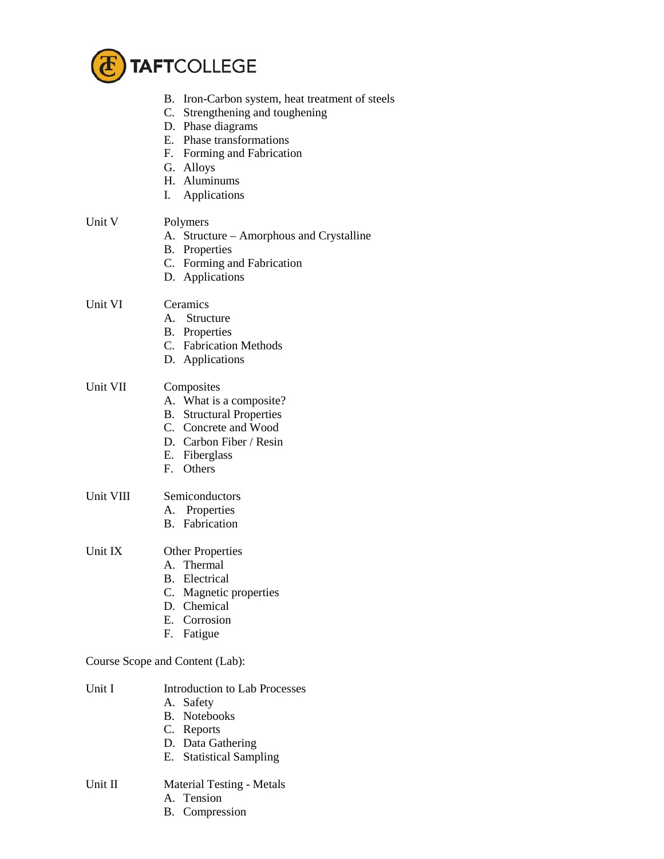

|           | B. Iron-Carbon system, heat treatment of steels<br>C. Strengthening and toughening<br>D. Phase diagrams<br>E. Phase transformations<br>F. Forming and Fabrication<br>G. Alloys<br>H. Aluminums<br>I. Applications |  |
|-----------|-------------------------------------------------------------------------------------------------------------------------------------------------------------------------------------------------------------------|--|
| Unit V    | Polymers<br>A. Structure – Amorphous and Crystalline<br><b>B.</b> Properties<br>C. Forming and Fabrication<br>D. Applications                                                                                     |  |
| Unit VI   | Ceramics<br>A. Structure<br><b>B.</b> Properties<br>C. Fabrication Methods<br>D. Applications                                                                                                                     |  |
| Unit VII  | Composites<br>A. What is a composite?<br><b>B.</b> Structural Properties<br>C. Concrete and Wood<br>D. Carbon Fiber / Resin<br>E. Fiberglass<br>F. Others                                                         |  |
| Unit VIII | Semiconductors<br>A. Properties<br><b>B.</b> Fabrication                                                                                                                                                          |  |
| Unit IX   | <b>Other Properties</b><br>A. Thermal<br><b>B.</b> Electrical<br>C. Magnetic properties<br>D. Chemical<br>E. Corrosion<br>F. Fatigue                                                                              |  |
|           | Course Scope and Content (Lab):                                                                                                                                                                                   |  |
| Unit I    | <b>Introduction to Lab Processes</b><br>A. Safety<br>B. Notebooks<br>C. Reports<br>D. Data Gathering<br><b>Statistical Sampling</b><br>Е.                                                                         |  |
| Unit II   | <b>Material Testing - Metals</b><br>A. Tension                                                                                                                                                                    |  |

B. Compression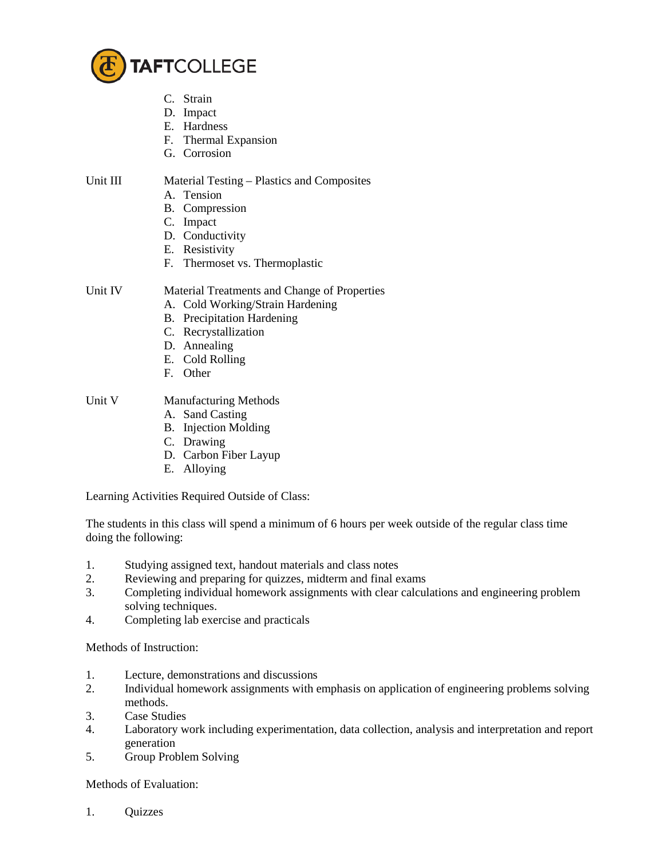

- C. Strain
- D. Impact
- E. Hardness
- F. Thermal Expansion
- G. Corrosion

Unit III Material Testing – Plastics and Composites

- A. Tension
- B. Compression
- C. Impact
- D. Conductivity
- E. Resistivity
- F. Thermoset vs. Thermoplastic

Unit IV Material Treatments and Change of Properties

- A. Cold Working/Strain Hardening
- B. Precipitation Hardening
- C. Recrystallization
- D. Annealing
- E. Cold Rolling
- F. Other

Unit V Manufacturing Methods

- A. Sand Casting
- B. Injection Molding
- C. Drawing
- D. Carbon Fiber Layup
- E. Alloying

Learning Activities Required Outside of Class:

The students in this class will spend a minimum of 6 hours per week outside of the regular class time doing the following:

- 1. Studying assigned text, handout materials and class notes
- 2. Reviewing and preparing for quizzes, midterm and final exams
- 3. Completing individual homework assignments with clear calculations and engineering problem solving techniques.
- 4. Completing lab exercise and practicals

Methods of Instruction:

- 1. Lecture, demonstrations and discussions
- 2. Individual homework assignments with emphasis on application of engineering problems solving methods.
- 3. Case Studies
- 4. Laboratory work including experimentation, data collection, analysis and interpretation and report generation
- 5. Group Problem Solving

Methods of Evaluation:

1. Quizzes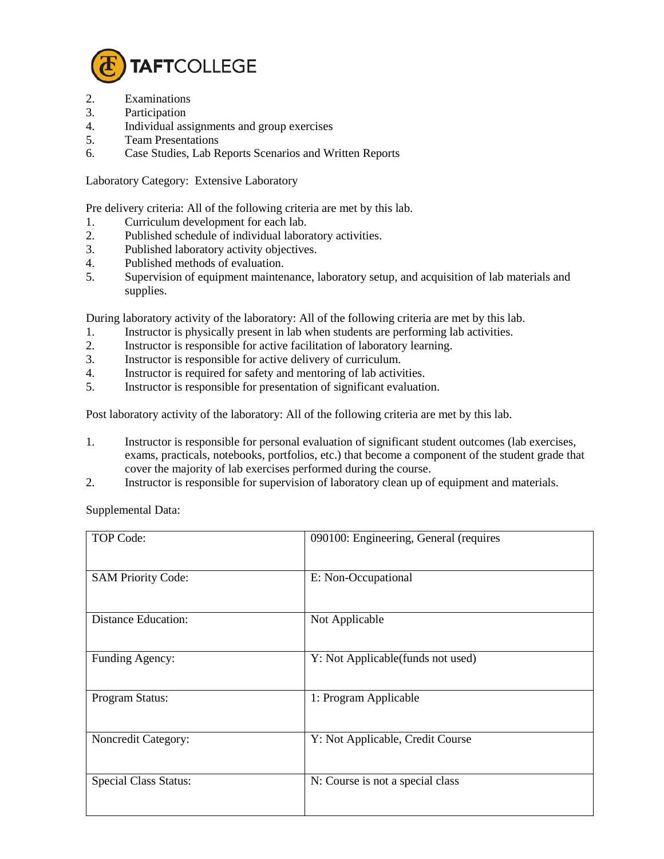

- 2. Examinations
- 3. Participation
- 4. Individual assignments and group exercises
- 5. Team Presentations
- 6. Case Studies, Lab Reports Scenarios and Written Reports

Laboratory Category: Extensive Laboratory

Pre delivery criteria: All of the following criteria are met by this lab.

- 1. Curriculum development for each lab.
- 2. Published schedule of individual laboratory activities.
- 3. Published laboratory activity objectives.
- 4. Published methods of evaluation.<br>5. Supervision of equipment mainter
- 5. Supervision of equipment maintenance, laboratory setup, and acquisition of lab materials and supplies.

During laboratory activity of the laboratory: All of the following criteria are met by this lab.

- 1. Instructor is physically present in lab when students are performing lab activities.
- 2. Instructor is responsible for active facilitation of laboratory learning.<br>3. Instructor is responsible for active delivery of curriculum.
- Instructor is responsible for active delivery of curriculum.
- 4. Instructor is required for safety and mentoring of lab activities.
- 5. Instructor is responsible for presentation of significant evaluation.

Post laboratory activity of the laboratory: All of the following criteria are met by this lab.

- 1. Instructor is responsible for personal evaluation of significant student outcomes (lab exercises, exams, practicals, notebooks, portfolios, etc.) that become a component of the student grade that cover the majority of lab exercises performed during the course.
- 2. Instructor is responsible for supervision of laboratory clean up of equipment and materials.

Supplemental Data:

| <b>TOP Code:</b>             | 090100: Engineering, General (requires |
|------------------------------|----------------------------------------|
| <b>SAM Priority Code:</b>    | E: Non-Occupational                    |
| <b>Distance Education:</b>   | Not Applicable                         |
| Funding Agency:              | Y: Not Applicable(funds not used)      |
| Program Status:              | 1: Program Applicable                  |
| Noncredit Category:          | Y: Not Applicable, Credit Course       |
| <b>Special Class Status:</b> | N: Course is not a special class       |